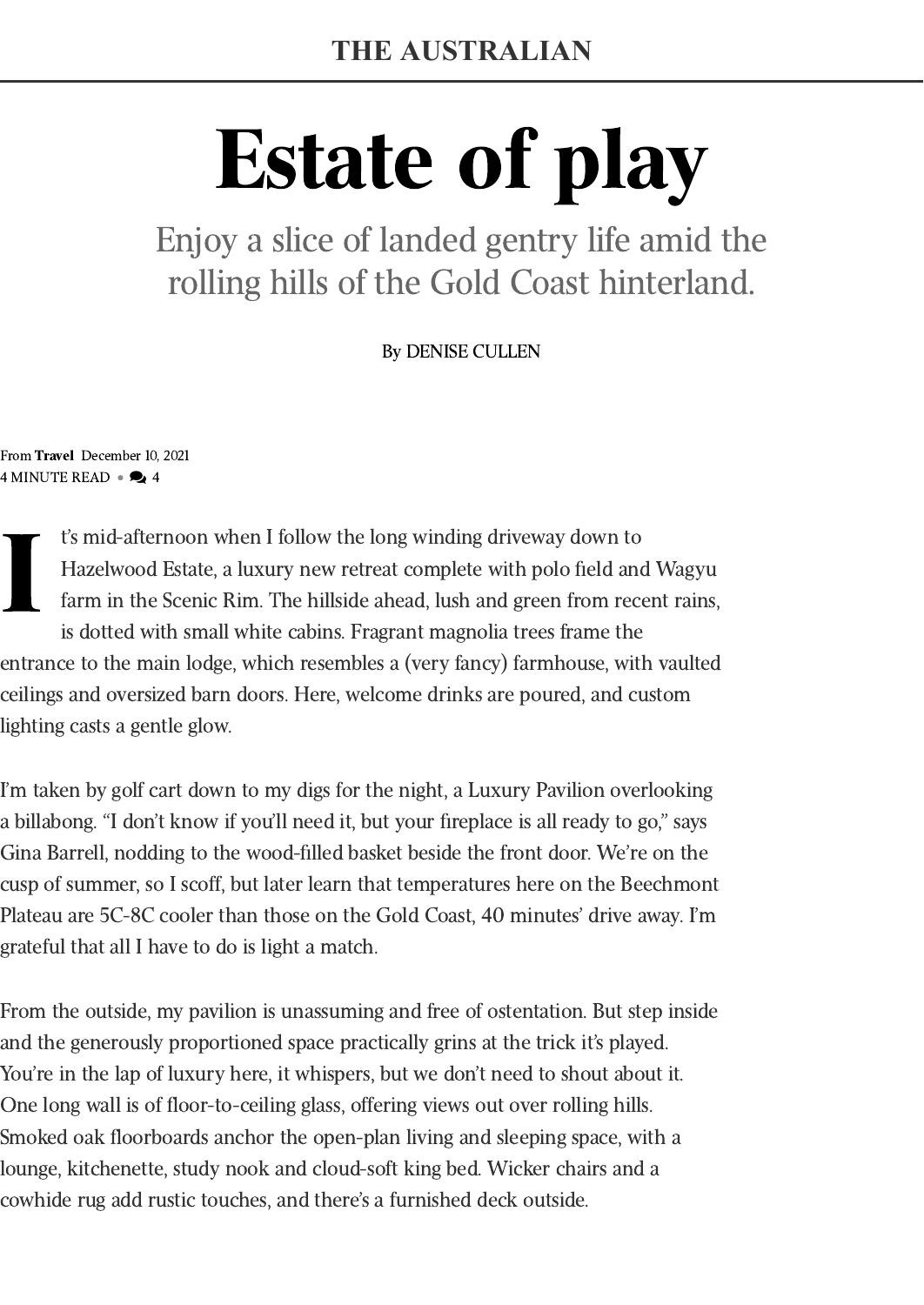## Estate of play

Enjoy a slice of landed gentry life amid the rolling hills of the Gold Coast hinterland.

By DENISE CULLEN

From [Travel](https://www.theaustralian.com.au/travel) December 10, 2021 4 MINUTE READ  $\bullet$  4

I t's mid-afternoon when I follow the long winding driveway down to Hazelwood Estate, a luxury new retreat complete with polo field and Wagyu farm in the Scenic Rim. The hillside ahead, lush and green from recent rains, is dotted with small white cabins. Fragrant magnolia trees frame the entrance to the main lodge, which resembles a (very fancy) farmhouse, with vaulted ceilings and oversized barn doors. Here, welcome drinks are poured, and custom lighting casts a gentle glow.

I'm taken by golf cart down to my digs for the night, a Luxury Pavilion overlooking a billabong. "I don't know if you'll need it, but your fireplace is all ready to go," says Gina Barrell, nodding to the wood-filled basket beside the front door. We're on the cusp of summer, so I scoff, but later learn that temperatures here on the Beechmont Plateau are 5C-8C cooler than those on the Gold Coast, 40 minutes' drive away. I'm grateful that all I have to do is light a match.

From the outside, my pavilion is unassuming and free of ostentation. But step inside and the generously proportioned space practically grins at the trick it's played. You're in the lap of luxury here, it whispers, but we don't need to shout about it. One long wall is of floor-to-ceiling glass, offering views out over rolling hills. Smoked oak floorboards anchor the open-plan living and sleeping space, with a lounge, kitchenette, study nook and cloud-soft king bed. Wicker chairs and a cowhide rug add rustic touches, and there's a furnished deck outside.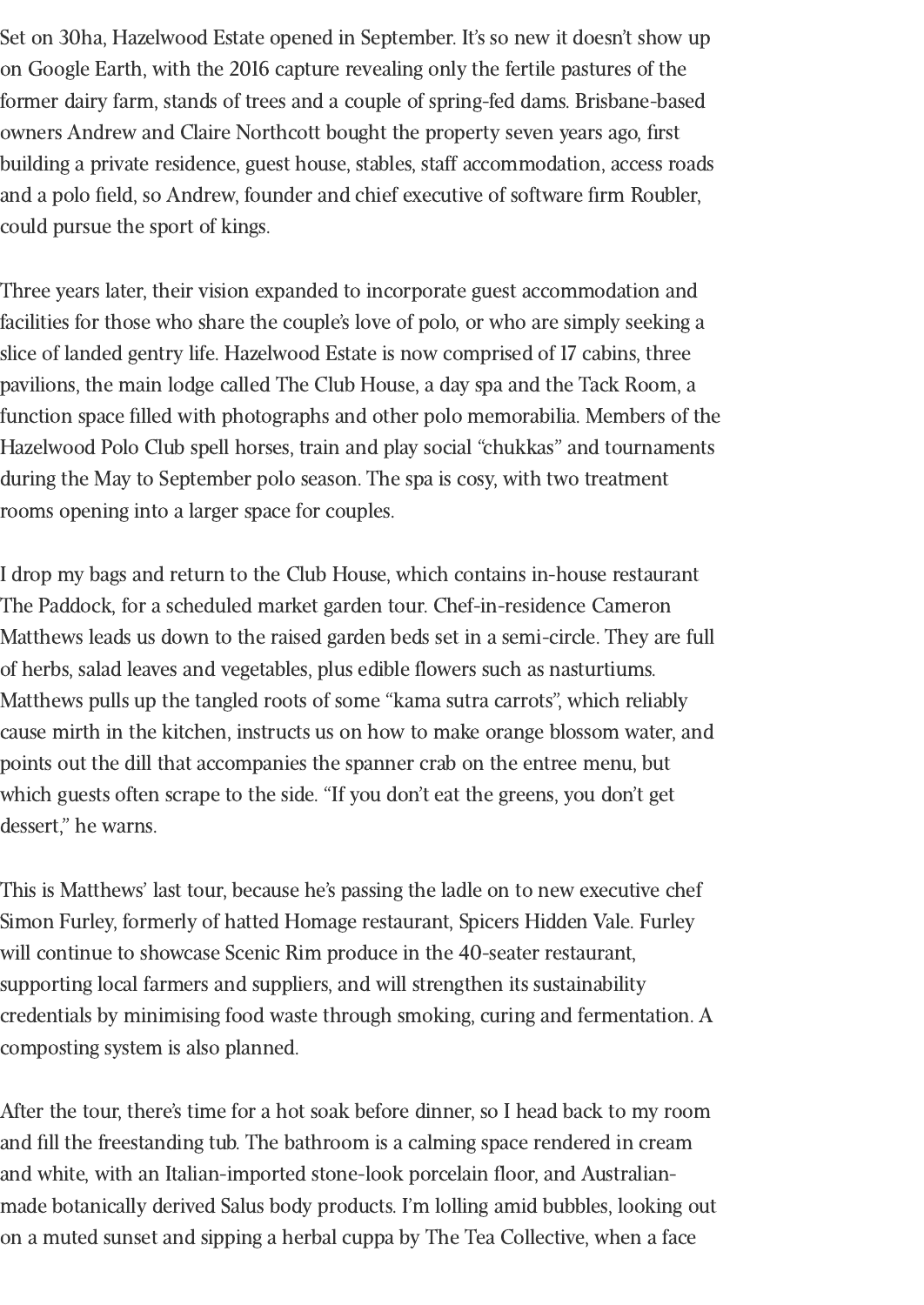Set on 30ha, Hazelwood Estate opened in September. It's so new it doesn't show up on Google Earth, with the 2016 capture revealing only the fertile pastures of the former dairy farm, stands of trees and a couple of spring-fed dams. Brisbane-based owners Andrew and Claire Northcott bought the property seven years ago, first building a private residence, guest house, stables, staff accommodation, access roads and a polo field, so Andrew, founder and chief executive of software firm Roubler, could pursue the sport of kings.

Three years later, their vision expanded to incorporate guest accommodation and facilities for those who share the couple's love of polo, or who are simply seeking a slice of landed gentry life. Hazelwood Estate is now comprised of 17 cabins, three pavilions, the main lodge called The Club House, a day spa and the Tack Room, a function space filled with photographs and other polo memorabilia. Members of the Hazelwood Polo Club spell horses, train and play social "chukkas" and tournaments during the May to September polo season. The spa is cosy, with two treatment rooms opening into a larger space for couples.

I drop my bags and return to the Club House, which contains in-house restaurant The Paddock, for a scheduled market garden tour. Chef-in-residence Cameron Matthews leads us down to the raised garden beds set in a semi-circle. They are full of herbs, salad leaves and vegetables, plus edible flowers such as nasturtiums. Matthews pulls up the tangled roots of some "kama sutra carrots", which reliably cause mirth in the kitchen, instructs us on how to make orange blossom water, and points out the dill that accompanies the spanner crab on the entree menu, but which guests often scrape to the side. "If you don't eat the greens, you don't get dessert," he warns.

This is Matthews' last tour, because he's passing the ladle on to new executive chef Simon Furley, formerly of hatted Homage restaurant, Spicers Hidden Vale. Furley will continue to showcase Scenic Rim produce in the 40-seater restaurant, supporting local farmers and suppliers, and will strengthen its sustainability credentials by minimising food waste through smoking, curing and fermentation. A composting system is also planned.

After the tour, there's time for a hot soak before dinner, so I head back to my room and fill the freestanding tub. The bathroom is a calming space rendered in cream and white, with an Italian-imported stone-look porcelain floor, and Australianmade botanically derived Salus body products. I'm lolling amid bubbles, looking out on a muted sunset and sipping a herbal cuppa by The Tea Collective, when a face